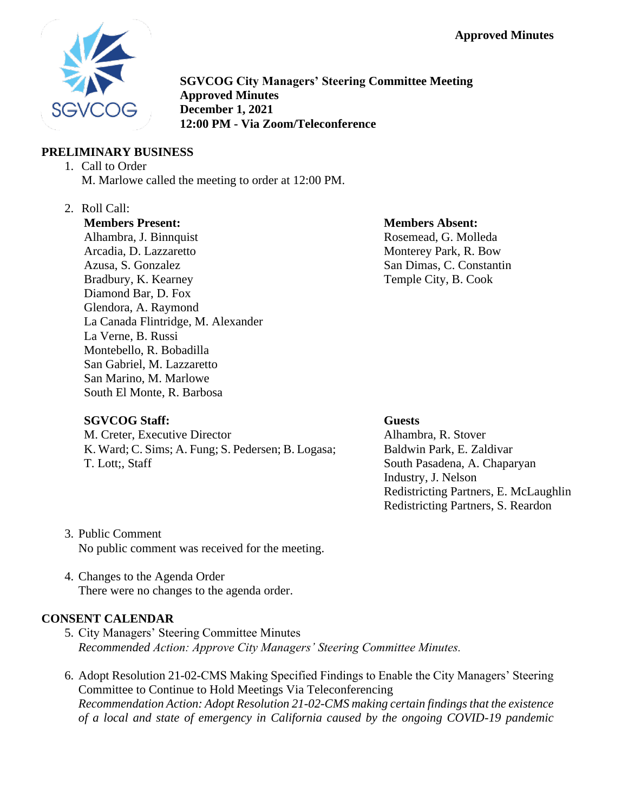**Approved Minutes**



**SGVCOG City Managers' Steering Committee Meeting Approved Minutes December 1, 2021 12:00 PM - Via Zoom/Teleconference**

# **PRELIMINARY BUSINESS**

- 1. Call to Order M. Marlowe called the meeting to order at 12:00 PM.
- 2. Roll Call:

#### **Members Present:**

Alhambra, J. Binnquist Arcadia, D. Lazzaretto Azusa, S. Gonzalez Bradbury, K. Kearney Diamond Bar, D. Fox Glendora, A. Raymond La Canada Flintridge, M. Alexander La Verne, B. Russi Montebello, R. Bobadilla San Gabriel, M. Lazzaretto San Marino, M. Marlowe South El Monte, R. Barbosa

#### **Members Absent:**

Rosemead, G. Molleda Monterey Park, R. Bow San Dimas, C. Constantin Temple City, B. Cook

# **SGVCOG Staff:**

M. Creter, Executive Director K. Ward; C. Sims; A. Fung; S. Pedersen; B. Logasa; T. Lott;, Staff

#### **Guests**

Alhambra, R. Stover Baldwin Park, E. Zaldivar South Pasadena, A. Chaparyan Industry, J. Nelson Redistricting Partners, E. McLaughlin Redistricting Partners, S. Reardon

- 3. Public Comment No public comment was received for the meeting.
- 4. Changes to the Agenda Order There were no changes to the agenda order.

## **CONSENT CALENDAR**

- 5. City Managers' Steering Committee Minutes *Recommended Action: Approve City Managers' Steering Committee Minutes.*
- 6. Adopt Resolution 21-02-CMS Making Specified Findings to Enable the City Managers' Steering Committee to Continue to Hold Meetings Via Teleconferencing *Recommendation Action: Adopt Resolution 21-02-CMS making certain findings that the existence of a local and state of emergency in California caused by the ongoing COVID-19 pandemic*